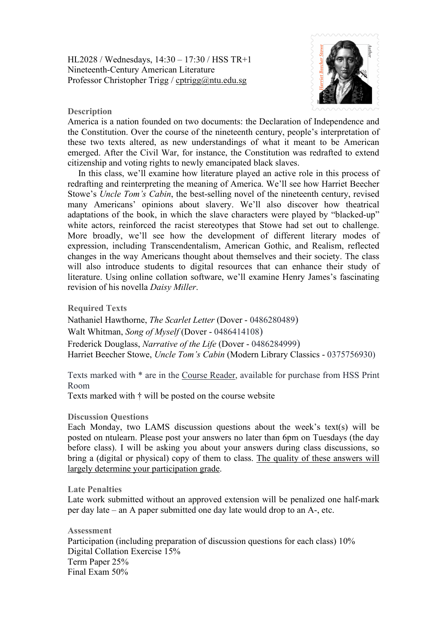HL2028 / Wednesdays, 14:30 – 17:30 / HSS TR+1 Nineteenth-Century American Literature Professor Christopher Trigg / [cptrigg@ntu.edu.sg](mailto:cptrigg@ntu.edu.sg)



## **Description**

America is a nation founded on two documents: the Declaration of Independence and the Constitution. Over the course of the nineteenth century, people's interpretation of these two texts altered, as new understandings of what it meant to be American emerged. After the Civil War, for instance, the Constitution was redrafted to extend citizenship and voting rights to newly emancipated black slaves.

In this class, we'll examine how literature played an active role in this process of redrafting and reinterpreting the meaning of America. We'll see how Harriet Beecher Stowe's *Uncle Tom's Cabin*, the best-selling novel of the nineteenth century, revised many Americans' opinions about slavery. We'll also discover how theatrical adaptations of the book, in which the slave characters were played by "blacked-up" white actors, reinforced the racist stereotypes that Stowe had set out to challenge. More broadly, we'll see how the development of different literary modes of expression, including Transcendentalism, American Gothic, and Realism, reflected changes in the way Americans thought about themselves and their society. The class will also introduce students to digital resources that can enhance their study of literature. Using online collation software, we'll examine Henry James's fascinating revision of his novella *Daisy Miller*.

**Required Texts**

Nathaniel Hawthorne, *The Scarlet Letter* (Dover - 0486280489) Walt Whitman, *Song of Myself* (Dover - 0486414108) Frederick Douglass, *Narrative of the Life* (Dover - 0486284999) Harriet Beecher Stowe, *Uncle Tom's Cabin* (Modern Library Classics - 0375756930)

Texts marked with \* are in the Course Reader, available for purchase from HSS Print Room

Texts marked with  $\dagger$  will be posted on the course website

## **Discussion Questions**

Each Monday, two LAMS discussion questions about the week's text(s) will be posted on ntulearn. Please post your answers no later than 6pm on Tuesdays (the day before class). I will be asking you about your answers during class discussions, so bring a (digital or physical) copy of them to class. The quality of these answers will largely determine your participation grade.

**Late Penalties**

Late work submitted without an approved extension will be penalized one half-mark per day late – an A paper submitted one day late would drop to an A-, etc.

**Assessment** Participation (including preparation of discussion questions for each class) 10% Digital Collation Exercise 15% Term Paper 25% Final Exam 50%